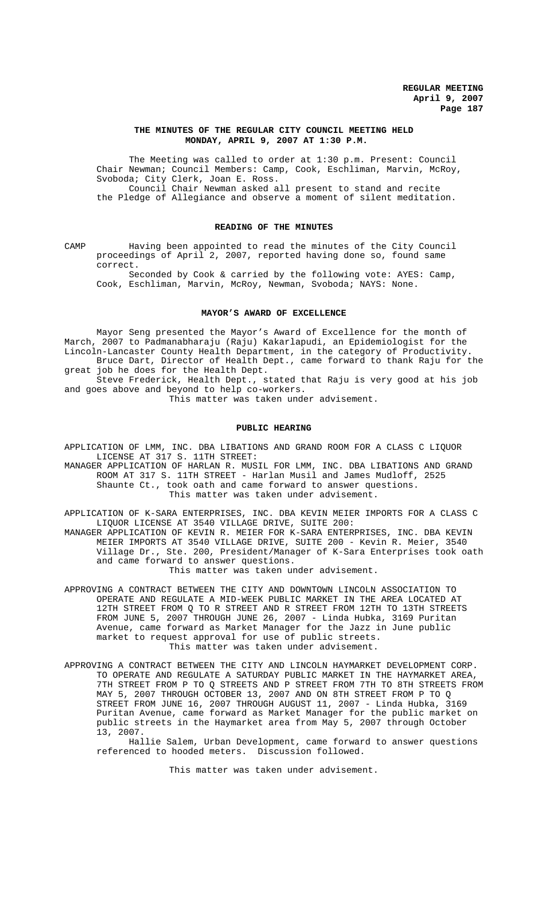### **THE MINUTES OF THE REGULAR CITY COUNCIL MEETING HELD MONDAY, APRIL 9, 2007 AT 1:30 P.M.**

The Meeting was called to order at 1:30 p.m. Present: Council Chair Newman; Council Members: Camp, Cook, Eschliman, Marvin, McRoy, Svoboda; City Clerk, Joan E. Ross. Council Chair Newman asked all present to stand and recite the Pledge of Allegiance and observe a moment of silent meditation.

# **READING OF THE MINUTES**

CAMP Having been appointed to read the minutes of the City Council proceedings of April 2, 2007, reported having done so, found same correct.

Seconded by Cook & carried by the following vote: AYES: Camp, Cook, Eschliman, Marvin, McRoy, Newman, Svoboda; NAYS: None.

#### **MAYOR'S AWARD OF EXCELLENCE**

Mayor Seng presented the Mayor's Award of Excellence for the month of March, 2007 to Padmanabharaju (Raju) Kakarlapudi, an Epidemiologist for the Lincoln-Lancaster County Health Department, in the category of Productivity. Bruce Dart, Director of Health Dept., came forward to thank Raju for the great job he does for the Health Dept.

Steve Frederick, Health Dept., stated that Raju is very good at his job and goes above and beyond to help co-workers.

This matter was taken under advisement.

## **PUBLIC HEARING**

APPLICATION OF LMM, INC. DBA LIBATIONS AND GRAND ROOM FOR A CLASS C LIQUOR LICENSE AT 317 S. 11TH STREET:

MANAGER APPLICATION OF HARLAN R. MUSIL FOR LMM, INC. DBA LIBATIONS AND GRAND ROOM AT 317 S. 11TH STREET - Harlan Musil and James Mudloff, 2525 Shaunte Ct., took oath and came forward to answer questions. This matter was taken under advisement.

APPLICATION OF K-SARA ENTERPRISES, INC. DBA KEVIN MEIER IMPORTS FOR A CLASS C LIQUOR LICENSE AT 3540 VILLAGE DRIVE, SUITE 200: MANAGER APPLICATION OF KEVIN R. MEIER FOR K-SARA ENTERPRISES, INC. DBA KEVIN MEIER IMPORTS AT 3540 VILLAGE DRIVE, SUITE 200 - Kevin R. Meier, 3540 Village Dr., Ste. 200, President/Manager of K-Sara Enterprises took oath and came forward to answer questions.

This matter was taken under advisement.

APPROVING A CONTRACT BETWEEN THE CITY AND DOWNTOWN LINCOLN ASSOCIATION TO OPERATE AND REGULATE A MID-WEEK PUBLIC MARKET IN THE AREA LOCATED AT 12TH STREET FROM Q TO R STREET AND R STREET FROM 12TH TO 13TH STREETS FROM JUNE 5, 2007 THROUGH JUNE 26, 2007 - Linda Hubka, 3169 Puritan Avenue, came forward as Market Manager for the Jazz in June public market to request approval for use of public streets. This matter was taken under advisement.

APPROVING A CONTRACT BETWEEN THE CITY AND LINCOLN HAYMARKET DEVELOPMENT CORP. TO OPERATE AND REGULATE A SATURDAY PUBLIC MARKET IN THE HAYMARKET AREA, 7TH STREET FROM P TO Q STREETS AND P STREET FROM 7TH TO 8TH STREETS FROM MAY 5, 2007 THROUGH OCTOBER 13, 2007 AND ON 8TH STREET FROM P TO Q STREET FROM JUNE 16, 2007 THROUGH AUGUST 11, 2007 - Linda Hubka, 3169 Puritan Avenue, came forward as Market Manager for the public market on public streets in the Haymarket area from May 5, 2007 through October 13, 2007.

Hallie Salem, Urban Development, came forward to answer questions referenced to hooded meters. Discussion followed.

This matter was taken under advisement.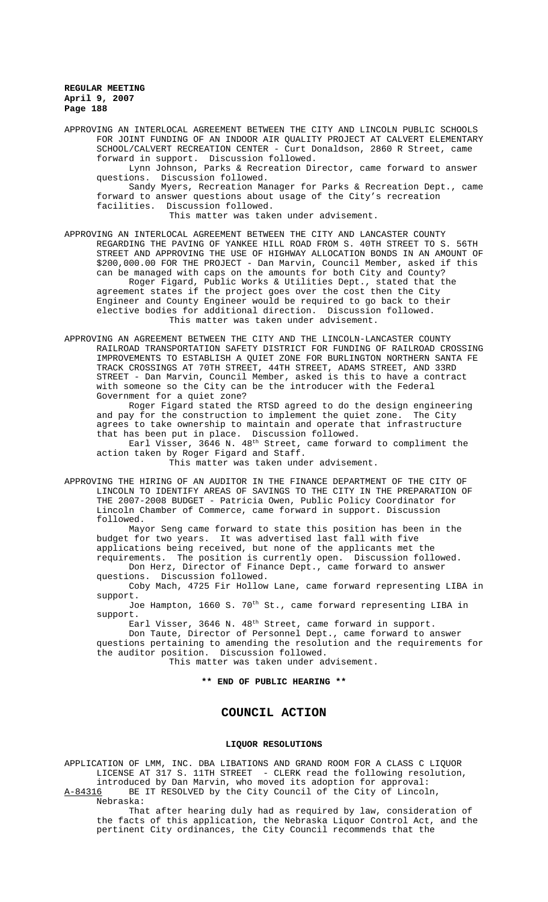APPROVING AN INTERLOCAL AGREEMENT BETWEEN THE CITY AND LINCOLN PUBLIC SCHOOLS FOR JOINT FUNDING OF AN INDOOR AIR QUALITY PROJECT AT CALVERT ELEMENTARY SCHOOL/CALVERT RECREATION CENTER - Curt Donaldson, 2860 R Street, came forward in support. Discussion followed.

Lynn Johnson, Parks & Recreation Director, came forward to answer questions. Discussion followed.

Sandy Myers, Recreation Manager for Parks & Recreation Dept., came forward to answer questions about usage of the City's recreation facilities. Discussion followed.

This matter was taken under advisement.

APPROVING AN INTERLOCAL AGREEMENT BETWEEN THE CITY AND LANCASTER COUNTY REGARDING THE PAVING OF YANKEE HILL ROAD FROM S. 40TH STREET TO S. 56TH STREET AND APPROVING THE USE OF HIGHWAY ALLOCATION BONDS IN AN AMOUNT OF \$200,000.00 FOR THE PROJECT - Dan Marvin, Council Member, asked if this can be managed with caps on the amounts for both City and County? Roger Figard, Public Works & Utilities Dept., stated that the agreement states if the project goes over the cost then the City Engineer and County Engineer would be required to go back to their elective bodies for additional direction. Discussion followed. This matter was taken under advisement.

APPROVING AN AGREEMENT BETWEEN THE CITY AND THE LINCOLN-LANCASTER COUNTY RAILROAD TRANSPORTATION SAFETY DISTRICT FOR FUNDING OF RAILROAD CROSSING IMPROVEMENTS TO ESTABLISH A QUIET ZONE FOR BURLINGTON NORTHERN SANTA FE TRACK CROSSINGS AT 70TH STREET, 44TH STREET, ADAMS STREET, AND 33RD STREET - Dan Marvin, Council Member, asked is this to have a contract with someone so the City can be the introducer with the Federal Government for a quiet zone?

Roger Figard stated the RTSD agreed to do the design engineering and pay for the construction to implement the quiet zone. The City agrees to take ownership to maintain and operate that infrastructure that has been put in place. Discussion followed.

Earl Visser, 3646 N.  $48^{\text{th}}$  Street, came forward to compliment the action taken by Roger Figard and Staff.

This matter was taken under advisement.

APPROVING THE HIRING OF AN AUDITOR IN THE FINANCE DEPARTMENT OF THE CITY OF LINCOLN TO IDENTIFY AREAS OF SAVINGS TO THE CITY IN THE PREPARATION OF THE 2007-2008 BUDGET - Patricia Owen, Public Policy Coordinator for Lincoln Chamber of Commerce, came forward in support. Discussion followed.

Mayor Seng came forward to state this position has been in the budget for two years. It was advertised last fall with five applications being received, but none of the applicants met the requirements. The position is currently open. Discussion followed.

Don Herz, Director of Finance Dept., came forward to answer questions. Discussion followed.

Coby Mach, 4725 Fir Hollow Lane, came forward representing LIBA in support.

Joe Hampton, 1660 S. 70<sup>th</sup> St., came forward representing LIBA in support.

Earl Visser, 3646 N. 48<sup>th</sup> Street, came forward in support.

Don Taute, Director of Personnel Dept., came forward to answer questions pertaining to amending the resolution and the requirements for the auditor position. Discussion followed.

This matter was taken under advisement.

**\*\* END OF PUBLIC HEARING \*\***

# **COUNCIL ACTION**

#### **LIQUOR RESOLUTIONS**

APPLICATION OF LMM, INC. DBA LIBATIONS AND GRAND ROOM FOR A CLASS C LIQUOR LICENSE AT 317 S. 11TH STREET - CLERK read the following resolution, introduced by Dan Marvin, who moved its adoption for approval:

A-84316 BE IT RESOLVED by the City Council of the City of Lincoln, Nebraska:

That after hearing duly had as required by law, consideration of the facts of this application, the Nebraska Liquor Control Act, and the pertinent City ordinances, the City Council recommends that the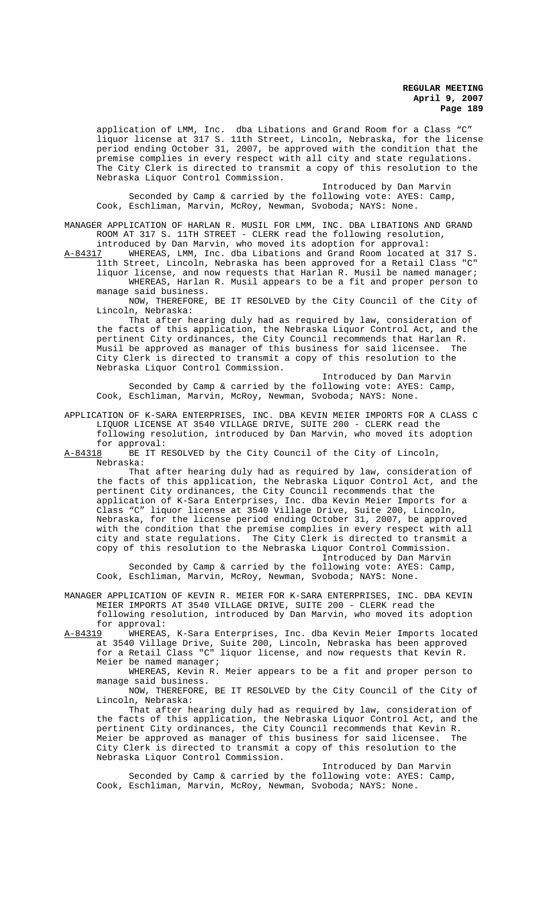application of LMM, Inc. dba Libations and Grand Room for a Class "C" liquor license at 317 S. 11th Street, Lincoln, Nebraska, for the license period ending October 31, 2007, be approved with the condition that the premise complies in every respect with all city and state regulations. The City Clerk is directed to transmit a copy of this resolution to the Nebraska Liquor Control Commission.

Introduced by Dan Marvin Seconded by Camp & carried by the following vote: AYES: Camp, Cook, Eschliman, Marvin, McRoy, Newman, Svoboda; NAYS: None.

MANAGER APPLICATION OF HARLAN R. MUSIL FOR LMM, INC. DBA LIBATIONS AND GRAND ROOM AT 317 S. 11TH STREET - CLERK read the following resolution,

introduced by Dan Marvin, who moved its adoption for approval:<br>A-84317 MHEREAS, LMM, Inc. dba Libations and Grand Room located WHEREAS, LMM, Inc. dba Libations and Grand Room located at 317 S.

11th Street, Lincoln, Nebraska has been approved for a Retail Class "C" liquor license, and now requests that Harlan R. Musil be named manager; WHEREAS, Harlan R. Musil appears to be a fit and proper person to manage said business.

NOW, THEREFORE, BE IT RESOLVED by the City Council of the City of Lincoln, Nebraska:

That after hearing duly had as required by law, consideration of the facts of this application, the Nebraska Liquor Control Act, and the pertinent City ordinances, the City Council recommends that Harlan R. Musil be approved as manager of this business for said licensee. City Clerk is directed to transmit a copy of this resolution to the Nebraska Liquor Control Commission.

Introduced by Dan Marvin Seconded by Camp & carried by the following vote: AYES: Camp, Cook, Eschliman, Marvin, McRoy, Newman, Svoboda; NAYS: None.

APPLICATION OF K-SARA ENTERPRISES, INC. DBA KEVIN MEIER IMPORTS FOR A CLASS C LIQUOR LICENSE AT 3540 VILLAGE DRIVE, SUITE 200 - CLERK read the following resolution, introduced by Dan Marvin, who moved its adoption

for approval:<br><u>A-84318</u> BE IT R BE IT RESOLVED by the City Council of the City of Lincoln, Nebraska:

That after hearing duly had as required by law, consideration of the facts of this application, the Nebraska Liquor Control Act, and the pertinent City ordinances, the City Council recommends that the application of K-Sara Enterprises, Inc. dba Kevin Meier Imports for a Class "C" liquor license at 3540 Village Drive, Suite 200, Lincoln, Nebraska, for the license period ending October 31, 2007, be approved with the condition that the premise complies in every respect with all city and state regulations. The City Clerk is directed to transmit a copy of this resolution to the Nebraska Liquor Control Commission. Introduced by Dan Marvin

Seconded by Camp & carried by the following vote: AYES: Camp, Cook, Eschliman, Marvin, McRoy, Newman, Svoboda; NAYS: None.

MANAGER APPLICATION OF KEVIN R. MEIER FOR K-SARA ENTERPRISES, INC. DBA KEVIN MEIER IMPORTS AT 3540 VILLAGE DRIVE, SUITE 200 - CLERK read the following resolution, introduced by Dan Marvin, who moved its adoption

for approval:<br>A-84319 WHEREAS WHEREAS, K-Sara Enterprises, Inc. dba Kevin Meier Imports located at 3540 Village Drive, Suite 200, Lincoln, Nebraska has been approved for a Retail Class "C" liquor license, and now requests that Kevin R. Meier be named manager;

WHEREAS, Kevin R. Meier appears to be a fit and proper person to manage said business.

NOW, THEREFORE, BE IT RESOLVED by the City Council of the City of Lincoln, Nebraska:

That after hearing duly had as required by law, consideration of the facts of this application, the Nebraska Liquor Control Act, and the pertinent City ordinances, the City Council recommends that Kevin R. Meier be approved as manager of this business for said licensee. The City Clerk is directed to transmit a copy of this resolution to the Nebraska Liquor Control Commission.

Introduced by Dan Marvin Seconded by Camp & carried by the following vote: AYES: Camp, Cook, Eschliman, Marvin, McRoy, Newman, Svoboda; NAYS: None.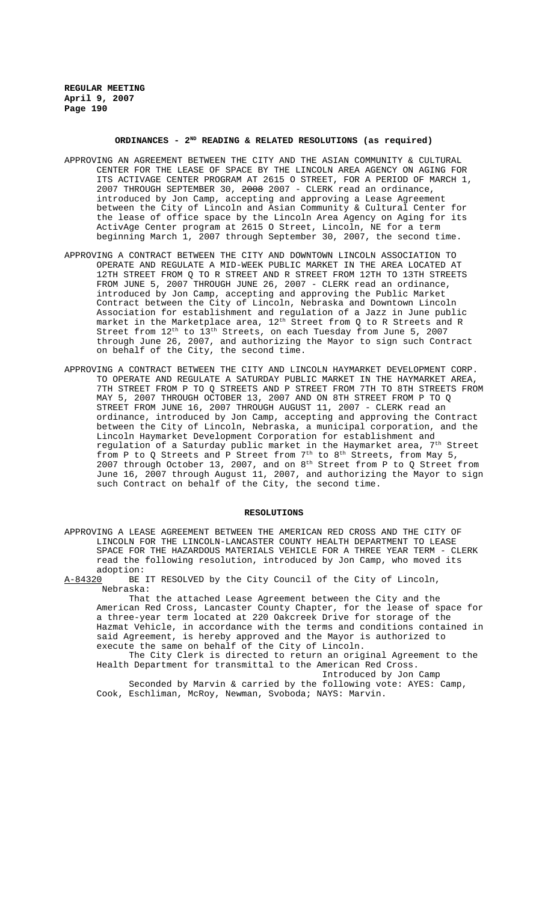### ORDINANCES - 2<sup>ND</sup> READING & RELATED RESOLUTIONS (as required)

- APPROVING AN AGREEMENT BETWEEN THE CITY AND THE ASIAN COMMUNITY & CULTURAL CENTER FOR THE LEASE OF SPACE BY THE LINCOLN AREA AGENCY ON AGING FOR ITS ACTIVAGE CENTER PROGRAM AT 2615 O STREET, FOR A PERIOD OF MARCH 1, 2007 THROUGH SEPTEMBER 30, 2008 2007 - CLERK read an ordinance, introduced by Jon Camp, accepting and approving a Lease Agreement between the City of Lincoln and Asian Community & Cultural Center for the lease of office space by the Lincoln Area Agency on Aging for its ActivAge Center program at 2615 O Street, Lincoln, NE for a term beginning March 1, 2007 through September 30, 2007, the second time.
- APPROVING A CONTRACT BETWEEN THE CITY AND DOWNTOWN LINCOLN ASSOCIATION TO OPERATE AND REGULATE A MID-WEEK PUBLIC MARKET IN THE AREA LOCATED AT 12TH STREET FROM Q TO R STREET AND R STREET FROM 12TH TO 13TH STREETS FROM JUNE 5, 2007 THROUGH JUNE 26, 2007 - CLERK read an ordinance, introduced by Jon Camp, accepting and approving the Public Market Contract between the City of Lincoln, Nebraska and Downtown Lincoln Association for establishment and regulation of a Jazz in June public market in the Marketplace area, 12<sup>th</sup> Street from Q to R Streets and R Street from  $12<sup>th</sup>$  to  $13<sup>th</sup>$  Streets, on each Tuesday from June 5, 2007 through June 26, 2007, and authorizing the Mayor to sign such Contract on behalf of the City, the second time.
- APPROVING A CONTRACT BETWEEN THE CITY AND LINCOLN HAYMARKET DEVELOPMENT CORP. TO OPERATE AND REGULATE A SATURDAY PUBLIC MARKET IN THE HAYMARKET AREA, 7TH STREET FROM P TO Q STREETS AND P STREET FROM 7TH TO 8TH STREETS FROM MAY 5, 2007 THROUGH OCTOBER 13, 2007 AND ON 8TH STREET FROM P TO Q STREET FROM JUNE 16, 2007 THROUGH AUGUST 11, 2007 - CLERK read an ordinance, introduced by Jon Camp, accepting and approving the Contract between the City of Lincoln, Nebraska, a municipal corporation, and the Lincoln Haymarket Development Corporation for establishment and regulation of a Saturday public market in the Haymarket area, 7th Street from P to Q Streets and P Street from 7<sup>th</sup> to 8<sup>th</sup> Streets, from May 5, 2007 through October 13, 2007, and on 8th Street from P to Q Street from June 16, 2007 through August 11, 2007, and authorizing the Mayor to sign such Contract on behalf of the City, the second time.

#### **RESOLUTIONS**

APPROVING A LEASE AGREEMENT BETWEEN THE AMERICAN RED CROSS AND THE CITY OF LINCOLN FOR THE LINCOLN-LANCASTER COUNTY HEALTH DEPARTMENT TO LEASE SPACE FOR THE HAZARDOUS MATERIALS VEHICLE FOR A THREE YEAR TERM - CLERK read the following resolution, introduced by Jon Camp, who moved its adoption:

A-84320 BE IT RESOLVED by the City Council of the City of Lincoln, Nebraska:

That the attached Lease Agreement between the City and the American Red Cross, Lancaster County Chapter, for the lease of space for a three-year term located at 220 Oakcreek Drive for storage of the Hazmat Vehicle, in accordance with the terms and conditions contained in said Agreement, is hereby approved and the Mayor is authorized to execute the same on behalf of the City of Lincoln.

The City Clerk is directed to return an original Agreement to the Health Department for transmittal to the American Red Cross.

Introduced by Jon Camp Seconded by Marvin & carried by the following vote: AYES: Camp, Cook, Eschliman, McRoy, Newman, Svoboda; NAYS: Marvin.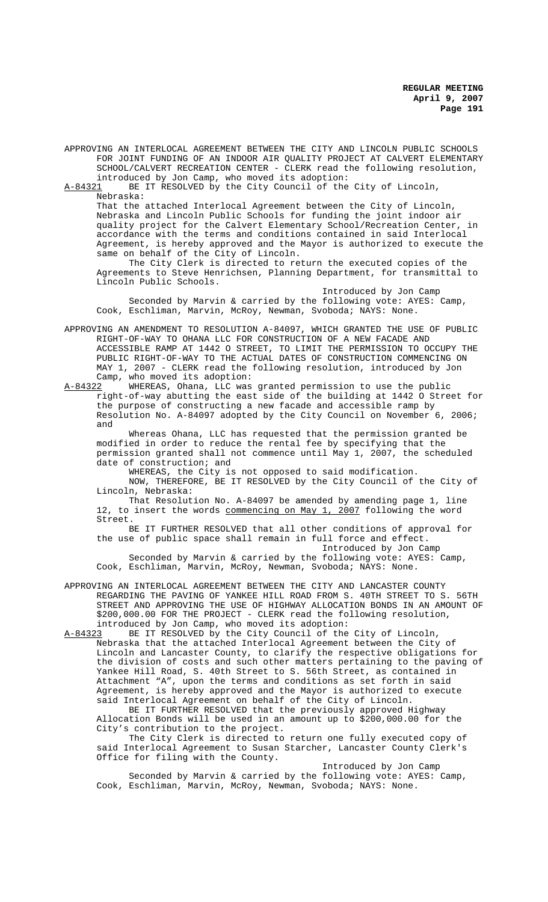APPROVING AN INTERLOCAL AGREEMENT BETWEEN THE CITY AND LINCOLN PUBLIC SCHOOLS FOR JOINT FUNDING OF AN INDOOR AIR QUALITY PROJECT AT CALVERT ELEMENTARY SCHOOL/CALVERT RECREATION CENTER - CLERK read the following resolution, introduced by Jon Camp, who moved its adoption:

A-84321 BE IT RESOLVED by the City Council of the City of Lincoln, Nebraska:

That the attached Interlocal Agreement between the City of Lincoln, Nebraska and Lincoln Public Schools for funding the joint indoor air quality project for the Calvert Elementary School/Recreation Center, in accordance with the terms and conditions contained in said Interlocal Agreement, is hereby approved and the Mayor is authorized to execute the same on behalf of the City of Lincoln.

The City Clerk is directed to return the executed copies of the Agreements to Steve Henrichsen, Planning Department, for transmittal to Lincoln Public Schools.

Introduced by Jon Camp Seconded by Marvin & carried by the following vote: AYES: Camp, Cook, Eschliman, Marvin, McRoy, Newman, Svoboda; NAYS: None.

APPROVING AN AMENDMENT TO RESOLUTION A-84097, WHICH GRANTED THE USE OF PUBLIC RIGHT-OF-WAY TO OHANA LLC FOR CONSTRUCTION OF A NEW FACADE AND ACCESSIBLE RAMP AT 1442 O STREET, TO LIMIT THE PERMISSION TO OCCUPY THE PUBLIC RIGHT-OF-WAY TO THE ACTUAL DATES OF CONSTRUCTION COMMENCING ON MAY 1, 2007 - CLERK read the following resolution, introduced by Jon Camp, who moved its adoption:

A-84322 WHEREAS, Ohana, LLC was granted permission to use the public right-of-way abutting the east side of the building at 1442 O Street for the purpose of constructing a new facade and accessible ramp by Resolution No. A-84097 adopted by the City Council on November 6, 2006; and

Whereas Ohana, LLC has requested that the permission granted be modified in order to reduce the rental fee by specifying that the permission granted shall not commence until May 1, 2007, the scheduled date of construction; and

WHEREAS, the City is not opposed to said modification. NOW, THEREFORE, BE IT RESOLVED by the City Council of the City of Lincoln, Nebraska:

That Resolution No. A-84097 be amended by amending page 1, line 12, to insert the words commencing on May 1, 2007 following the word Street.

BE IT FURTHER RESOLVED that all other conditions of approval for the use of public space shall remain in full force and effect. Introduced by Jon Camp

Seconded by Marvin & carried by the following vote: AYES: Camp, Cook, Eschliman, Marvin, McRoy, Newman, Svoboda; NAYS: None.

APPROVING AN INTERLOCAL AGREEMENT BETWEEN THE CITY AND LANCASTER COUNTY REGARDING THE PAVING OF YANKEE HILL ROAD FROM S. 40TH STREET TO S. 56TH STREET AND APPROVING THE USE OF HIGHWAY ALLOCATION BONDS IN AN AMOUNT OF \$200,000.00 FOR THE PROJECT - CLERK read the following resolution, introduced by Jon Camp, who moved its adoption:

A-84323 BE IT RESOLVED by the City Council of the City of Lincoln, Nebraska that the attached Interlocal Agreement between the City of Lincoln and Lancaster County, to clarify the respective obligations for the division of costs and such other matters pertaining to the paving of Yankee Hill Road, S. 40th Street to S. 56th Street, as contained in Attachment "A", upon the terms and conditions as set forth in said Agreement, is hereby approved and the Mayor is authorized to execute said Interlocal Agreement on behalf of the City of Lincoln.

BE IT FURTHER RESOLVED that the previously approved Highway Allocation Bonds will be used in an amount up to \$200,000.00 for the City's contribution to the project.

The City Clerk is directed to return one fully executed copy of said Interlocal Agreement to Susan Starcher, Lancaster County Clerk's Office for filing with the County.

Introduced by Jon Camp Seconded by Marvin & carried by the following vote: AYES: Camp, Cook, Eschliman, Marvin, McRoy, Newman, Svoboda; NAYS: None.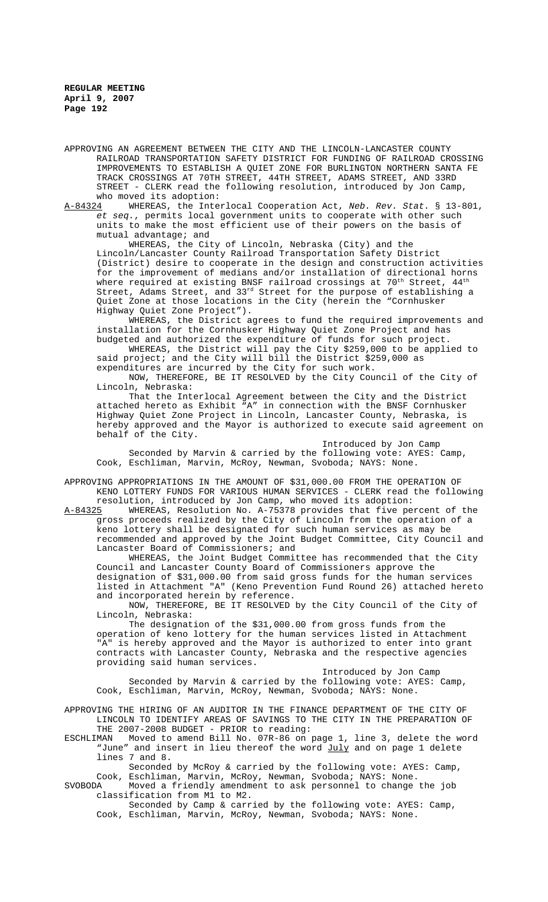APPROVING AN AGREEMENT BETWEEN THE CITY AND THE LINCOLN-LANCASTER COUNTY RAILROAD TRANSPORTATION SAFETY DISTRICT FOR FUNDING OF RAILROAD CROSSING IMPROVEMENTS TO ESTABLISH A QUIET ZONE FOR BURLINGTON NORTHERN SANTA FE TRACK CROSSINGS AT 70TH STREET, 44TH STREET, ADAMS STREET, AND 33RD STREET - CLERK read the following resolution, introduced by Jon Camp, who moved its adoption:

A-84324 WHEREAS, the Interlocal Cooperation Act, *Neb. Rev. Stat.* § 13-801, *et seq.*, permits local government units to cooperate with other such units to make the most efficient use of their powers on the basis of mutual advantage; and

WHEREAS, the City of Lincoln, Nebraska (City) and the Lincoln/Lancaster County Railroad Transportation Safety District (District) desire to cooperate in the design and construction activities for the improvement of medians and/or installation of directional horns where required at existing BNSF railroad crossings at  $70^{th}$  Street,  $44^{th}$ Street, Adams Street, and 33rd Street for the purpose of establishing a Quiet Zone at those locations in the City (herein the "Cornhusker Highway Quiet Zone Project").

WHEREAS, the District agrees to fund the required improvements and installation for the Cornhusker Highway Quiet Zone Project and has budgeted and authorized the expenditure of funds for such project.

WHEREAS, the District will pay the City \$259,000 to be applied to said project; and the City will bill the District \$259,000 as expenditures are incurred by the City for such work.

NOW, THEREFORE, BE IT RESOLVED by the City Council of the City of Lincoln, Nebraska:

That the Interlocal Agreement between the City and the District attached hereto as Exhibit "A" in connection with the BNSF Cornhusker Highway Quiet Zone Project in Lincoln, Lancaster County, Nebraska, is hereby approved and the Mayor is authorized to execute said agreement on behalf of the City.

Introduced by Jon Camp Seconded by Marvin & carried by the following vote: AYES: Camp, Cook, Eschliman, Marvin, McRoy, Newman, Svoboda; NAYS: None.

APPROVING APPROPRIATIONS IN THE AMOUNT OF \$31,000.00 FROM THE OPERATION OF KENO LOTTERY FUNDS FOR VARIOUS HUMAN SERVICES - CLERK read the following resolution, introduced by Jon Camp, who moved its adoption:

A-84325 WHEREAS, Resolution No. A-75378 provides that five percent of the gross proceeds realized by the City of Lincoln from the operation of a keno lottery shall be designated for such human services as may be recommended and approved by the Joint Budget Committee, City Council and Lancaster Board of Commissioners; and

WHEREAS, the Joint Budget Committee has recommended that the City Council and Lancaster County Board of Commissioners approve the designation of \$31,000.00 from said gross funds for the human services listed in Attachment "A" (Keno Prevention Fund Round 26) attached hereto and incorporated herein by reference.

NOW, THEREFORE, BE IT RESOLVED by the City Council of the City of Lincoln, Nebraska:

The designation of the \$31,000.00 from gross funds from the operation of keno lottery for the human services listed in Attachment "A" is hereby approved and the Mayor is authorized to enter into grant contracts with Lancaster County, Nebraska and the respective agencies providing said human services.

Introduced by Jon Camp Seconded by Marvin & carried by the following vote: AYES: Camp, Cook, Eschliman, Marvin, McRoy, Newman, Svoboda; NAYS: None.

APPROVING THE HIRING OF AN AUDITOR IN THE FINANCE DEPARTMENT OF THE CITY OF LINCOLN TO IDENTIFY AREAS OF SAVINGS TO THE CITY IN THE PREPARATION OF

THE 2007-2008 BUDGET - PRIOR to reading:<br>ESCHLIMAN Moved to amend Bill No. 07R-86 on Moved to amend Bill No. 07R-86 on page 1, line 3, delete the word "June" and insert in lieu thereof the word July and on page 1 delete lines 7 and 8.

Seconded by McRoy & carried by the following vote: AYES: Camp,

Cook, Eschliman, Marvin, McRoy, Newman, Svoboda; NAYS: None. SVOBODA Moved a friendly amendment to ask personnel to change the job

classification from M1 to M2. Seconded by Camp & carried by the following vote: AYES: Camp, Cook, Eschliman, Marvin, McRoy, Newman, Svoboda; NAYS: None.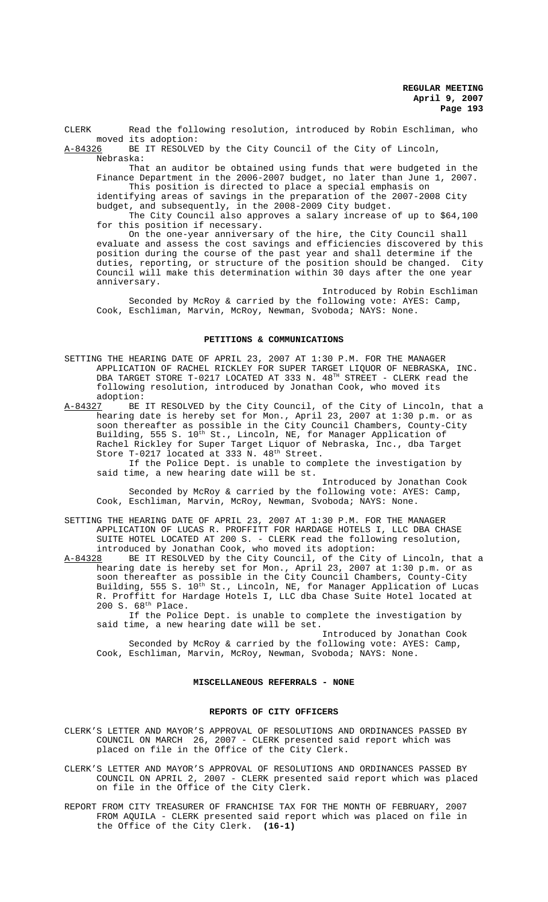CLERK Read the following resolution, introduced by Robin Eschliman, who moved its adoption:

A-84326 BE IT RESOLVED by the City Council of the City of Lincoln, Nebraska:

That an auditor be obtained using funds that were budgeted in the Finance Department in the 2006-2007 budget, no later than June 1, 2007. This position is directed to place a special emphasis on identifying areas of savings in the preparation of the 2007-2008 City

budget, and subsequently, in the 2008-2009 City budget. The City Council also approves a salary increase of up to \$64,100 for this position if necessary.

On the one-year anniversary of the hire, the City Council shall evaluate and assess the cost savings and efficiencies discovered by this position during the course of the past year and shall determine if the duties, reporting, or structure of the position should be changed. City Council will make this determination within 30 days after the one year anniversary.

Introduced by Robin Eschliman Seconded by McRoy & carried by the following vote: AYES: Camp, Cook, Eschliman, Marvin, McRoy, Newman, Svoboda; NAYS: None.

## **PETITIONS & COMMUNICATIONS**

SETTING THE HEARING DATE OF APRIL 23, 2007 AT 1:30 P.M. FOR THE MANAGER APPLICATION OF RACHEL RICKLEY FOR SUPER TARGET LIQUOR OF NEBRASKA, INC. DBA TARGET STORE T-0217 LOCATED AT 333 N.  $48^{\text{TH}}$  STREET - CLERK read the following resolution, introduced by Jonathan Cook, who moved its adoption:<br><u>A-84327</u> BE

BE IT RESOLVED by the City Council, of the City of Lincoln, that a hearing date is hereby set for Mon., April 23, 2007 at 1:30 p.m. or as soon thereafter as possible in the City Council Chambers, County-City Building, 555 S. 10<sup>th</sup> St., Lincoln, NE, for Manager Application of Rachel Rickley for Super Target Liquor of Nebraska, Inc., dba Target Store T-0217 located at 333 N. 48<sup>th</sup> Street.

If the Police Dept. is unable to complete the investigation by said time, a new hearing date will be st.

Introduced by Jonathan Cook Seconded by McRoy & carried by the following vote: AYES: Camp, Cook, Eschliman, Marvin, McRoy, Newman, Svoboda; NAYS: None.

SETTING THE HEARING DATE OF APRIL 23, 2007 AT 1:30 P.M. FOR THE MANAGER APPLICATION OF LUCAS R. PROFFITT FOR HARDAGE HOTELS I, LLC DBA CHASE SUITE HOTEL LOCATED AT 200 S. - CLERK read the following resolution, introduced by Jonathan Cook, who moved its adoption:

A-84328 BE IT RESOLVED by the City Council, of the City of Lincoln, that a hearing date is hereby set for Mon., April 23, 2007 at 1:30 p.m. or as soon thereafter as possible in the City Council Chambers, County-City Building, 555 S. 10<sup>th</sup> St., Lincoln, NE, for Manager Application of Lucas R. Proffitt for Hardage Hotels I, LLC dba Chase Suite Hotel located at 200 S. 68th Place.

If the Police Dept. is unable to complete the investigation by said time, a new hearing date will be set.

Introduced by Jonathan Cook Seconded by McRoy & carried by the following vote: AYES: Camp, Cook, Eschliman, Marvin, McRoy, Newman, Svoboda; NAYS: None.

# **MISCELLANEOUS REFERRALS - NONE**

#### **REPORTS OF CITY OFFICERS**

CLERK'S LETTER AND MAYOR'S APPROVAL OF RESOLUTIONS AND ORDINANCES PASSED BY COUNCIL ON MARCH 26, 2007 - CLERK presented said report which was placed on file in the Office of the City Clerk.

CLERK'S LETTER AND MAYOR'S APPROVAL OF RESOLUTIONS AND ORDINANCES PASSED BY COUNCIL ON APRIL 2, 2007 - CLERK presented said report which was placed on file in the Office of the City Clerk.

REPORT FROM CITY TREASURER OF FRANCHISE TAX FOR THE MONTH OF FEBRUARY, 2007 FROM AQUILA - CLERK presented said report which was placed on file in the Office of the City Clerk. **(16-1)**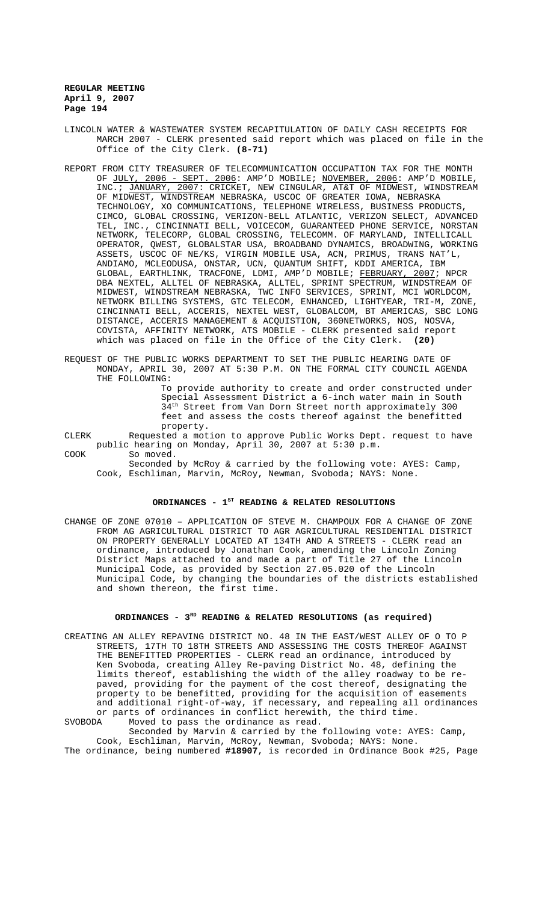- LINCOLN WATER & WASTEWATER SYSTEM RECAPITULATION OF DAILY CASH RECEIPTS FOR MARCH 2007 - CLERK presented said report which was placed on file in the Office of the City Clerk. **(8-71)**
- REPORT FROM CITY TREASURER OF TELECOMMUNICATION OCCUPATION TAX FOR THE MONTH OF <u>JULY, 2006 - SEPT. 2006</u>: AMP'D MOBILE; <u>NOVEMBER, 2006</u>: AMP'D MOBILE, INC.; JANUARY, 2007: CRICKET, NEW CINGULAR, AT&T OF MIDWEST, WINDSTREAM OF MIDWEST, WINDSTREAM NEBRASKA, USCOC OF GREATER IOWA, NEBRASKA TECHNOLOGY, XO COMMUNICATIONS, TELEPHONE WIRELESS, BUSINESS PRODUCTS, CIMCO, GLOBAL CROSSING, VERIZON-BELL ATLANTIC, VERIZON SELECT, ADVANCED TEL, INC., CINCINNATI BELL, VOICECOM, GUARANTEED PHONE SERVICE, NORSTAN NETWORK, TELECORP, GLOBAL CROSSING, TELECOMM. OF MARYLAND, INTELLICALL OPERATOR, QWEST, GLOBALSTAR USA, BROADBAND DYNAMICS, BROADWING, WORKING ASSETS, USCOC OF NE/KS, VIRGIN MOBILE USA, ACN, PRIMUS, TRANS NAT'L, ANDIAMO, MCLEODUSA, ONSTAR, UCN, QUANTUM SHIFT, KDDI AMERICA, IBM GLOBAL, EARTHLINK, TRACFONE, LDMI, AMP'D MOBILE; FEBRUARY, 2007; NPCR DBA NEXTEL, ALLTEL OF NEBRASKA, ALLTEL, SPRINT SPECTRUM, WINDSTREAM OF MIDWEST, WINDSTREAM NEBRASKA, TWC INFO SERVICES, SPRINT, MCI WORLDCOM, NETWORK BILLING SYSTEMS, GTC TELECOM, ENHANCED, LIGHTYEAR, TRI-M, ZONE, CINCINNATI BELL, ACCERIS, NEXTEL WEST, GLOBALCOM, BT AMERICAS, SBC LONG DISTANCE, ACCERIS MANAGEMENT & ACQUISTION, 360NETWORKS, NOS, NOSVA, COVISTA, AFFINITY NETWORK, ATS MOBILE - CLERK presented said report which was placed on file in the Office of the City Clerk. **(20)**
- REQUEST OF THE PUBLIC WORKS DEPARTMENT TO SET THE PUBLIC HEARING DATE OF MONDAY, APRIL 30, 2007 AT 5:30 P.M. ON THE FORMAL CITY COUNCIL AGENDA THE FOLLOWING:

To provide authority to create and order constructed under Special Assessment District a 6-inch water main in South 34<sup>th</sup> Street from Van Dorn Street north approximately 300 Street from Van Dorn Street north approximately 300 feet and assess the costs thereof against the benefitted property.

CLERK Requested a motion to approve Public Works Dept. request to have public hearing on Monday, April 30, 2007 at 5:30 p.m.

COOK So moved.

Seconded by McRoy & carried by the following vote: AYES: Camp, Cook, Eschliman, Marvin, McRoy, Newman, Svoboda; NAYS: None.

# ORDINANCES - 1<sup>st</sup> READING & RELATED RESOLUTIONS

CHANGE OF ZONE 07010 – APPLICATION OF STEVE M. CHAMPOUX FOR A CHANGE OF ZONE FROM AG AGRICULTURAL DISTRICT TO AGR AGRICULTURAL RESIDENTIAL DISTRICT ON PROPERTY GENERALLY LOCATED AT 134TH AND A STREETS - CLERK read an ordinance, introduced by Jonathan Cook, amending the Lincoln Zoning District Maps attached to and made a part of Title 27 of the Lincoln Municipal Code, as provided by Section 27.05.020 of the Lincoln Municipal Code, by changing the boundaries of the districts established and shown thereon, the first time.

# ORDINANCES - 3<sup>RD</sup> READING & RELATED RESOLUTIONS (as required)

CREATING AN ALLEY REPAVING DISTRICT NO. 48 IN THE EAST/WEST ALLEY OF O TO P STREETS, 17TH TO 18TH STREETS AND ASSESSING THE COSTS THEREOF AGAINST THE BENEFITTED PROPERTIES - CLERK read an ordinance, introduced by Ken Svoboda, creating Alley Re-paving District No. 48, defining the limits thereof, establishing the width of the alley roadway to be repaved, providing for the payment of the cost thereof, designating the property to be benefitted, providing for the acquisition of easements and additional right-of-way, if necessary, and repealing all ordinances or parts of ordinances in conflict herewith, the third time.<br>SVOBODA Moved to pass the ordinance as read. Moved to pass the ordinance as read.

Seconded by Marvin & carried by the following vote: AYES: Camp, Cook, Eschliman, Marvin, McRoy, Newman, Svoboda; NAYS: None. The ordinance, being numbered **#18907**, is recorded in Ordinance Book #25, Page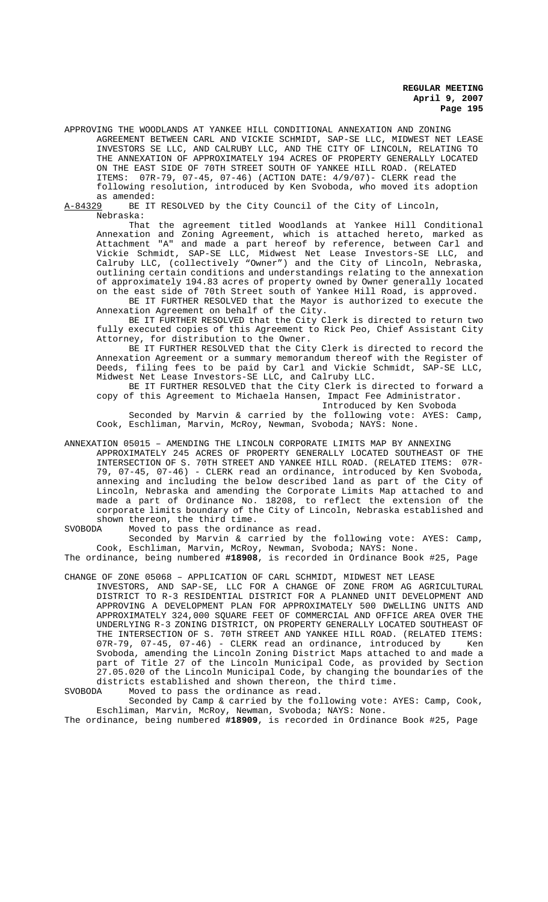APPROVING THE WOODLANDS AT YANKEE HILL CONDITIONAL ANNEXATION AND ZONING AGREEMENT BETWEEN CARL AND VICKIE SCHMIDT, SAP-SE LLC, MIDWEST NET LEASE INVESTORS SE LLC, AND CALRUBY LLC, AND THE CITY OF LINCOLN, RELATING TO THE ANNEXATION OF APPROXIMATELY 194 ACRES OF PROPERTY GENERALLY LOCATED ON THE EAST SIDE OF 70TH STREET SOUTH OF YANKEE HILL ROAD. (RELATED ITEMS: 07R-79, 07-45, 07-46) (ACTION DATE: 4/9/07)- CLERK read the following resolution, introduced by Ken Svoboda, who moved its adoption as amended:<br><u>A-84329</u> BE IT

BE IT RESOLVED by the City Council of the City of Lincoln, Nebraska:

That the agreement titled Woodlands at Yankee Hill Conditional Annexation and Zoning Agreement, which is attached hereto, marked as Attachment "A" and made a part hereof by reference, between Carl and Vickie Schmidt, SAP-SE LLC, Midwest Net Lease Investors-SE LLC, and Calruby LLC, (collectively "Owner") and the City of Lincoln, Nebraska, outlining certain conditions and understandings relating to the annexation of approximately 194.83 acres of property owned by Owner generally located on the east side of 70th Street south of Yankee Hill Road, is approved.

BE IT FURTHER RESOLVED that the Mayor is authorized to execute the Annexation Agreement on behalf of the City.

BE IT FURTHER RESOLVED that the City Clerk is directed to return two fully executed copies of this Agreement to Rick Peo, Chief Assistant City Attorney, for distribution to the Owner.

BE IT FURTHER RESOLVED that the City Clerk is directed to record the Annexation Agreement or a summary memorandum thereof with the Register of Deeds, filing fees to be paid by Carl and Vickie Schmidt, SAP-SE LLC, Midwest Net Lease Investors-SE LLC, and Calruby LLC.

BE IT FURTHER RESOLVED that the City Clerk is directed to forward a copy of this Agreement to Michaela Hansen, Impact Fee Administrator.

Introduced by Ken Svoboda

Seconded by Marvin & carried by the following vote: AYES: Camp, Cook, Eschliman, Marvin, McRoy, Newman, Svoboda; NAYS: None.

ANNEXATION 05015 – AMENDING THE LINCOLN CORPORATE LIMITS MAP BY ANNEXING APPROXIMATELY 245 ACRES OF PROPERTY GENERALLY LOCATED SOUTHEAST OF THE INTERSECTION OF S. 70TH STREET AND YANKEE HILL ROAD. (RELATED ITEMS: 07R-79, 07-45, 07-46) - CLERK read an ordinance, introduced by Ken Svoboda, annexing and including the below described land as part of the City of Lincoln, Nebraska and amending the Corporate Limits Map attached to and made a part of Ordinance No. 18208, to reflect the extension of the corporate limits boundary of the City of Lincoln, Nebraska established and shown thereon, the third time.<br>SVOBODA Moved to pass the ordinal

Moved to pass the ordinance as read. Seconded by Marvin & carried by the following vote: AYES: Camp, Cook, Eschliman, Marvin, McRoy, Newman, Svoboda; NAYS: None.

The ordinance, being numbered **#18908**, is recorded in Ordinance Book #25, Page

CHANGE OF ZONE 05068 – APPLICATION OF CARL SCHMIDT, MIDWEST NET LEASE INVESTORS, AND SAP-SE, LLC FOR A CHANGE OF ZONE FROM AG AGRICULTURAL DISTRICT TO R-3 RESIDENTIAL DISTRICT FOR A PLANNED UNIT DEVELOPMENT AND APPROVING A DEVELOPMENT PLAN FOR APPROXIMATELY 500 DWELLING UNITS AND APPROXIMATELY 324,000 SQUARE FEET OF COMMERCIAL AND OFFICE AREA OVER THE UNDERLYING R-3 ZONING DISTRICT, ON PROPERTY GENERALLY LOCATED SOUTHEAST OF THE INTERSECTION OF S. 70TH STREET AND YANKEE HILL ROAD. (RELATED ITEMS: 07R-79, 07-45, 07-46) - CLERK read an ordinance, introduced by Ken Svoboda, amending the Lincoln Zoning District Maps attached to and made a part of Title 27 of the Lincoln Municipal Code, as provided by Section 27.05.020 of the Lincoln Municipal Code, by changing the boundaries of the districts established and shown thereon, the third time.<br>SVOBODA Moved to pass the ordinance as read.

Moved to pass the ordinance as read.

Seconded by Camp & carried by the following vote: AYES: Camp, Cook, Eschliman, Marvin, McRoy, Newman, Svoboda; NAYS: None.

The ordinance, being numbered **#18909**, is recorded in Ordinance Book #25, Page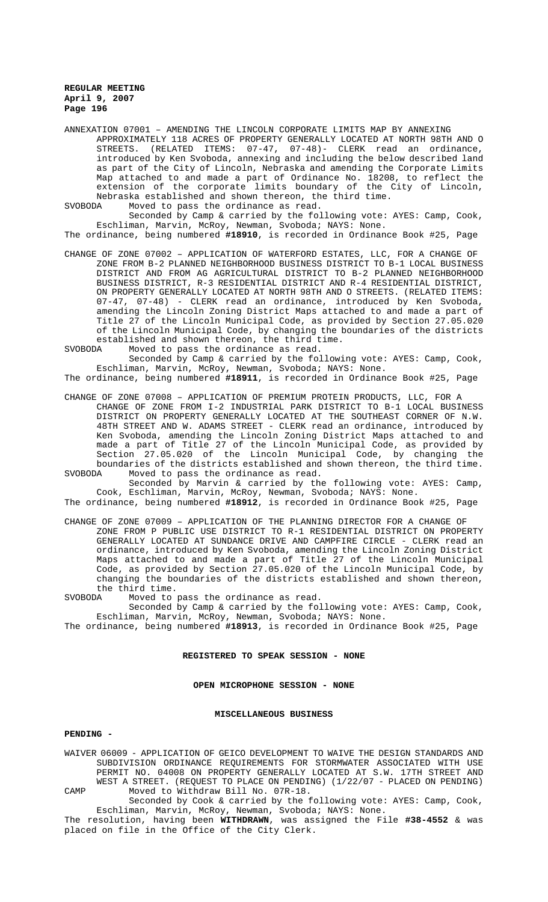ANNEXATION 07001 – AMENDING THE LINCOLN CORPORATE LIMITS MAP BY ANNEXING APPROXIMATELY 118 ACRES OF PROPERTY GENERALLY LOCATED AT NORTH 98TH AND O STREETS. (RELATED ITEMS: 07-47, 07-48)- CLERK read an ordinance, introduced by Ken Svoboda, annexing and including the below described land as part of the City of Lincoln, Nebraska and amending the Corporate Limits Map attached to and made a part of Ordinance No. 18208, to reflect the extension of the corporate limits boundary of the City of Lincoln, Nebraska established and shown thereon, the third time.<br>SVORODA Moved to pass the ordinance as read.

Moved to pass the ordinance as read.

Seconded by Camp & carried by the following vote: AYES: Camp, Cook, Eschliman, Marvin, McRoy, Newman, Svoboda; NAYS: None.

The ordinance, being numbered **#18910**, is recorded in Ordinance Book #25, Page

CHANGE OF ZONE 07002 – APPLICATION OF WATERFORD ESTATES, LLC, FOR A CHANGE OF ZONE FROM B-2 PLANNED NEIGHBORHOOD BUSINESS DISTRICT TO B-1 LOCAL BUSINESS DISTRICT AND FROM AG AGRICULTURAL DISTRICT TO B-2 PLANNED NEIGHBORHOOD BUSINESS DISTRICT, R-3 RESIDENTIAL DISTRICT AND R-4 RESIDENTIAL DISTRICT, ON PROPERTY GENERALLY LOCATED AT NORTH 98TH AND O STREETS. (RELATED ITEMS: 07-47, 07-48) - CLERK read an ordinance, introduced by Ken Svoboda, amending the Lincoln Zoning District Maps attached to and made a part of Title 27 of the Lincoln Municipal Code, as provided by Section 27.05.020 of the Lincoln Municipal Code, by changing the boundaries of the districts established and shown thereon, the third time.<br>SVOBODA Moved to pass the ordinance as read.

Moved to pass the ordinance as read.

Seconded by Camp & carried by the following vote: AYES: Camp, Cook, Eschliman, Marvin, McRoy, Newman, Svoboda; NAYS: None.

The ordinance, being numbered **#18911**, is recorded in Ordinance Book #25, Page

CHANGE OF ZONE 07008 – APPLICATION OF PREMIUM PROTEIN PRODUCTS, LLC, FOR A CHANGE OF ZONE FROM I-2 INDUSTRIAL PARK DISTRICT TO B-1 LOCAL BUSINESS DISTRICT ON PROPERTY GENERALLY LOCATED AT THE SOUTHEAST CORNER OF N.W. 48TH STREET AND W. ADAMS STREET - CLERK read an ordinance, introduced by Ken Svoboda, amending the Lincoln Zoning District Maps attached to and made a part of Title 27 of the Lincoln Municipal Code, as provided by Section 27.05.020 of the Lincoln Municipal Code, by changing the

boundaries of the districts established and shown thereon, the third time. SVOBODA Moved to pass the ordinance as read. Seconded by Marvin & carried by the following vote: AYES: Camp,

Cook, Eschliman, Marvin, McRoy, Newman, Svoboda; NAYS: None. The ordinance, being numbered **#18912**, is recorded in Ordinance Book #25, Page

CHANGE OF ZONE 07009 – APPLICATION OF THE PLANNING DIRECTOR FOR A CHANGE OF ZONE FROM P PUBLIC USE DISTRICT TO R-1 RESIDENTIAL DISTRICT ON PROPERTY GENERALLY LOCATED AT SUNDANCE DRIVE AND CAMPFIRE CIRCLE - CLERK read an ordinance, introduced by Ken Svoboda, amending the Lincoln Zoning District Maps attached to and made a part of Title 27 of the Lincoln Municipal Code, as provided by Section 27.05.020 of the Lincoln Municipal Code, by changing the boundaries of the districts established and shown thereon, the third time.<br>SVOBODA Moved to

Moved to pass the ordinance as read.

Seconded by Camp & carried by the following vote: AYES: Camp, Cook, Eschliman, Marvin, McRoy, Newman, Svoboda; NAYS: None.

The ordinance, being numbered **#18913**, is recorded in Ordinance Book #25, Page

### **REGISTERED TO SPEAK SESSION - NONE**

# **OPEN MICROPHONE SESSION - NONE**

#### **MISCELLANEOUS BUSINESS**

## **PENDING -**

WAIVER 06009 - APPLICATION OF GEICO DEVELOPMENT TO WAIVE THE DESIGN STANDARDS AND SUBDIVISION ORDINANCE REQUIREMENTS FOR STORMWATER ASSOCIATED WITH USE PERMIT NO. 04008 ON PROPERTY GENERALLY LOCATED AT S.W. 17TH STREET AND WEST A STREET. (REQUEST TO PLACE ON PENDING) (1/22/07 - PLACED ON PENDING) CAMP Moved to Withdraw Bill No. 07R-18.

Seconded by Cook & carried by the following vote: AYES: Camp, Cook, Eschliman, Marvin, McRoy, Newman, Svoboda; NAYS: None.

The resolution, having been **WITHDRAWN**, was assigned the File **#38-4552** & was placed on file in the Office of the City Clerk.